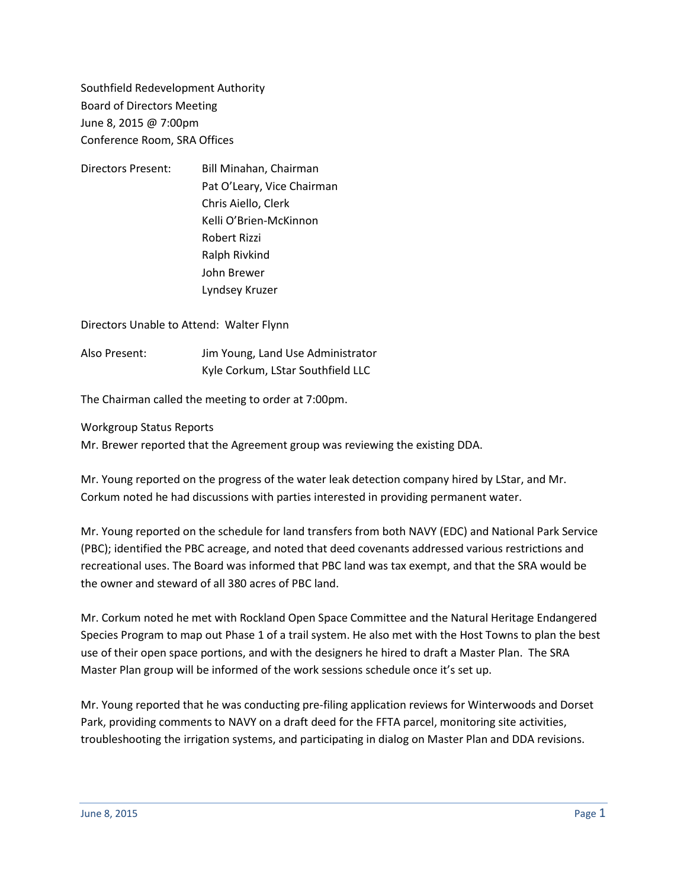Southfield Redevelopment Authority Board of Directors Meeting June 8, 2015 @ 7:00pm Conference Room, SRA Offices

Directors Present: Bill Minahan, Chairman Pat O'Leary, Vice Chairman Chris Aiello, Clerk Kelli O'Brien-McKinnon Robert Rizzi Ralph Rivkind John Brewer Lyndsey Kruzer

Directors Unable to Attend: Walter Flynn

Also Present: Jim Young, Land Use Administrator Kyle Corkum, LStar Southfield LLC

The Chairman called the meeting to order at 7:00pm.

Workgroup Status Reports

Mr. Brewer reported that the Agreement group was reviewing the existing DDA.

Mr. Young reported on the progress of the water leak detection company hired by LStar, and Mr. Corkum noted he had discussions with parties interested in providing permanent water.

Mr. Young reported on the schedule for land transfers from both NAVY (EDC) and National Park Service (PBC); identified the PBC acreage, and noted that deed covenants addressed various restrictions and recreational uses. The Board was informed that PBC land was tax exempt, and that the SRA would be the owner and steward of all 380 acres of PBC land.

Mr. Corkum noted he met with Rockland Open Space Committee and the Natural Heritage Endangered Species Program to map out Phase 1 of a trail system. He also met with the Host Towns to plan the best use of their open space portions, and with the designers he hired to draft a Master Plan. The SRA Master Plan group will be informed of the work sessions schedule once it's set up.

Mr. Young reported that he was conducting pre-filing application reviews for Winterwoods and Dorset Park, providing comments to NAVY on a draft deed for the FFTA parcel, monitoring site activities, troubleshooting the irrigation systems, and participating in dialog on Master Plan and DDA revisions.